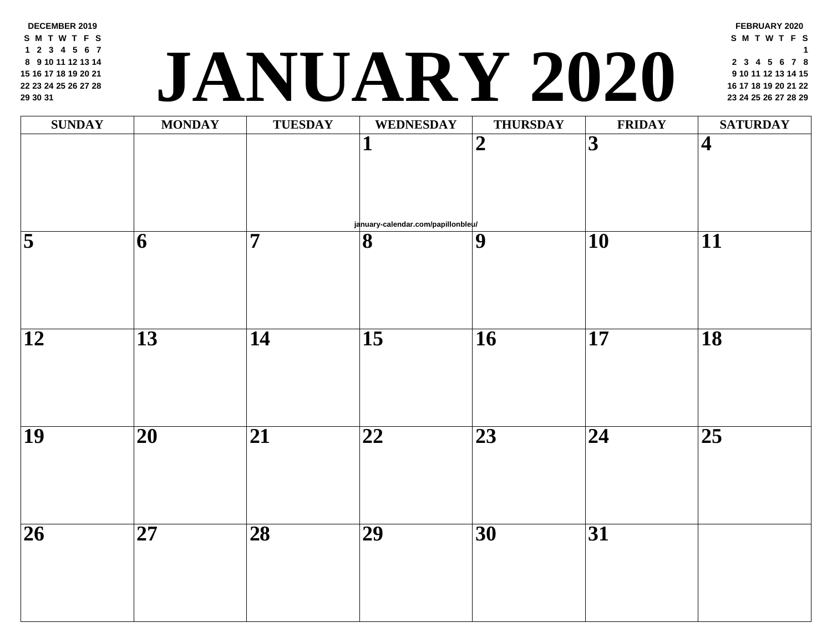**DECEMBER 2019 S M T W T F S 2 3 4 5 6 7**

 **9 10 11 12 13 14 16 17 18 19 20 21 23 24 25 26 27 28 30 31**

## **<sup>16</sup> <sup>17</sup> <sup>18</sup> <sup>19</sup> <sup>20</sup> <sup>21</sup> <sup>22</sup> JANUARY 2020 <sup>23</sup> <sup>24</sup> <sup>25</sup> <sup>26</sup> <sup>27</sup> <sup>28</sup> <sup>29</sup>**

| <b>SUNDAY</b>           | <b>MONDAY</b>            | <b>TUESDAY</b>           | <b>WEDNESDAY</b>                                   | <b>THURSDAY</b> | FRII            |
|-------------------------|--------------------------|--------------------------|----------------------------------------------------|-----------------|-----------------|
|                         |                          |                          | $\mathbf{1}$<br>january-calendar.com/papillonbleu/ | $\overline{2}$  | $\overline{3}$  |
| $\overline{\mathbf{5}}$ | $\overline{\mathbf{6}}$  | $\overline{\mathbf{7}}$  | $\overline{\mathbf{8}}$                            | $\overline{9}$  | $\overline{10}$ |
|                         |                          |                          |                                                    |                 |                 |
| $\overline{12}$         | $\overline{13}$          | $\overline{14}$          | $\overline{15}$                                    | $\overline{16}$ | $\overline{17}$ |
| $\overline{19}$         | $\overline{\mathbf{20}}$ | $\overline{21}$          | $\overline{22}$                                    | $\overline{23}$ | $\overline{24}$ |
| $\overline{26}$         | $\overline{\mathbf{27}}$ | $\overline{\mathbf{28}}$ | $\overline{29}$                                    | $\overline{30}$ | $\overline{31}$ |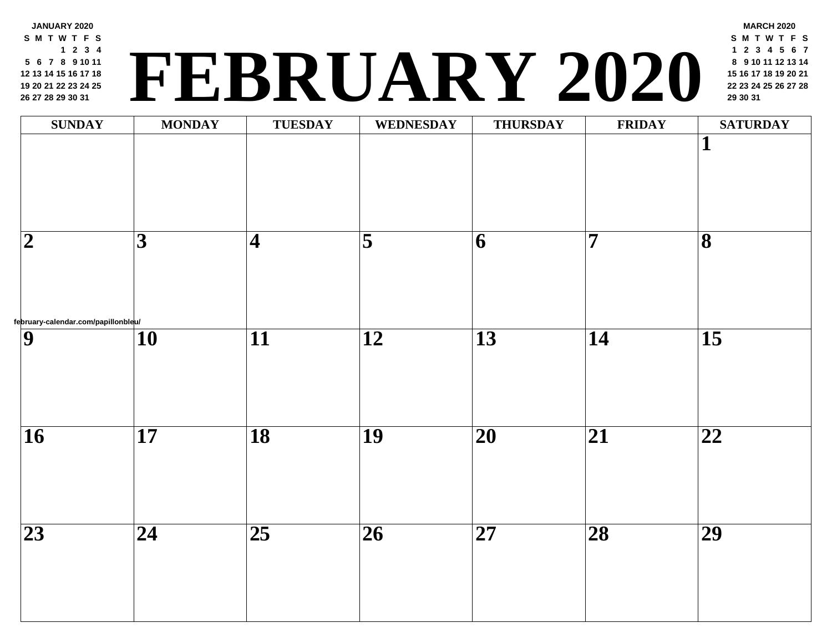**JANUARY 2020 S M T W T F S 2 3 4 6 7 8 9 10 11 13 14 15 16 17 18 20 21 22 23 24 25 27 28 29 30 31**

## **<sup>22</sup> <sup>23</sup> <sup>24</sup> <sup>25</sup> <sup>26</sup> <sup>27</sup> <sup>28</sup> FEBRUARY 2020 <sup>29</sup> <sup>30</sup> <sup>31</sup>**

| <b>SUNDAY</b>                                         | <b>MONDAY</b>   | <b>TUESDAY</b>      | WEDNESDAY               | <b>THURSDAY</b>          | FRII                    |
|-------------------------------------------------------|-----------------|---------------------|-------------------------|--------------------------|-------------------------|
|                                                       |                 |                     |                         |                          |                         |
| $\boldsymbol{2}$                                      | $\overline{3}$  | $\overline{\bf{4}}$ | $\overline{\mathbf{5}}$ | $\overline{6}$           | $\overline{\mathbf{7}}$ |
| february-calendar.com/papillonbleu/<br>$\overline{9}$ | $\overline{10}$ | $\overline{11}$     | $\overline{12}$         | $\overline{13}$          | $\overline{14}$         |
|                                                       |                 |                     |                         |                          |                         |
| $\overline{16}$                                       | $\overline{17}$ | $\overline{18}$     | $\overline{19}$         | $\overline{\mathbf{20}}$ | $\overline{21}$         |
| $\overline{23}$                                       | $\overline{24}$ | $\overline{25}$     | $\overline{26}$         | $\overline{\mathbf{27}}$ | $\overline{28}$         |
|                                                       |                 |                     |                         |                          |                         |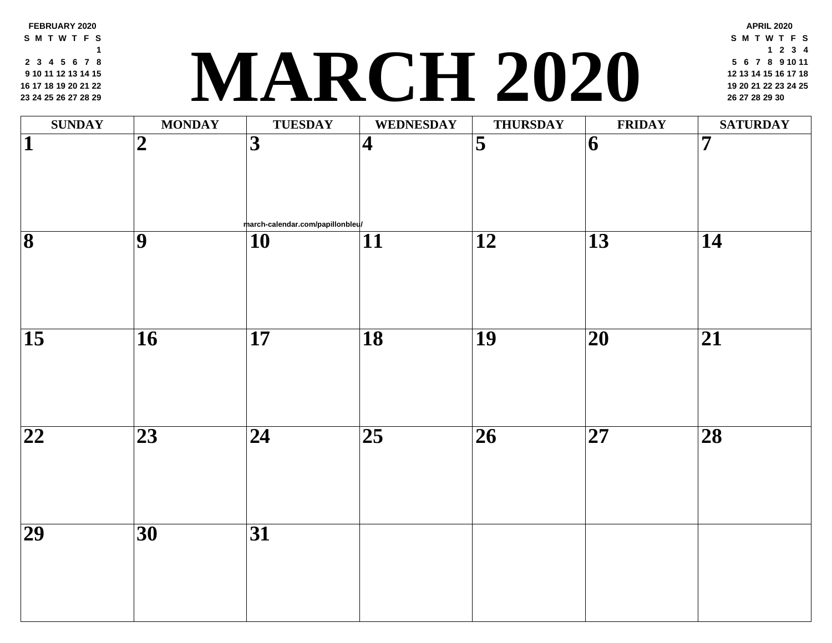**FEBRUARY 2020 S M T W T F S 3 4 5 6 7 8 10 11 12 13 14 15 17 18 19 20 21 22 24 25 26 27 28 29**

### **<sup>19</sup> <sup>20</sup> <sup>21</sup> <sup>22</sup> <sup>23</sup> <sup>24</sup> <sup>25</sup> MARCH 2020 <sup>26</sup> <sup>27</sup> <sup>28</sup> <sup>29</sup> <sup>30</sup>**

| $\mathbf{SUNDAY}$       | <b>MONDAY</b>   | <b>TUESDAY</b>                                               | <b>WEDNESDAY</b>        | <b>THURSDAY</b>         | <b>FRII</b>              |
|-------------------------|-----------------|--------------------------------------------------------------|-------------------------|-------------------------|--------------------------|
| $\overline{\mathbf{1}}$ | $\overline{2}$  | $\overline{\mathbf{3}}$                                      | $\overline{\mathbf{4}}$ | $\overline{\mathbf{5}}$ | 6                        |
| $\overline{\mathbf{8}}$ | $\overline{9}$  | march-calendar.com/papillonbleu/<br>$\overline{\mathbf{10}}$ | $\overline{11}$         | $\overline{12}$         | $\overline{13}$          |
| $\overline{15}$         | $\overline{16}$ | $\overline{17}$                                              | $\overline{18}$         | $\overline{19}$         | $\overline{\mathbf{20}}$ |
|                         |                 |                                                              |                         |                         |                          |
| $\overline{22}$         | $\overline{23}$ | $\overline{24}$                                              | $\overline{25}$         | $\overline{26}$         | $\overline{\mathbf{27}}$ |
| $\overline{29}$         | $\overline{30}$ | $\overline{31}$                                              |                         |                         |                          |
|                         |                 |                                                              |                         |                         |                          |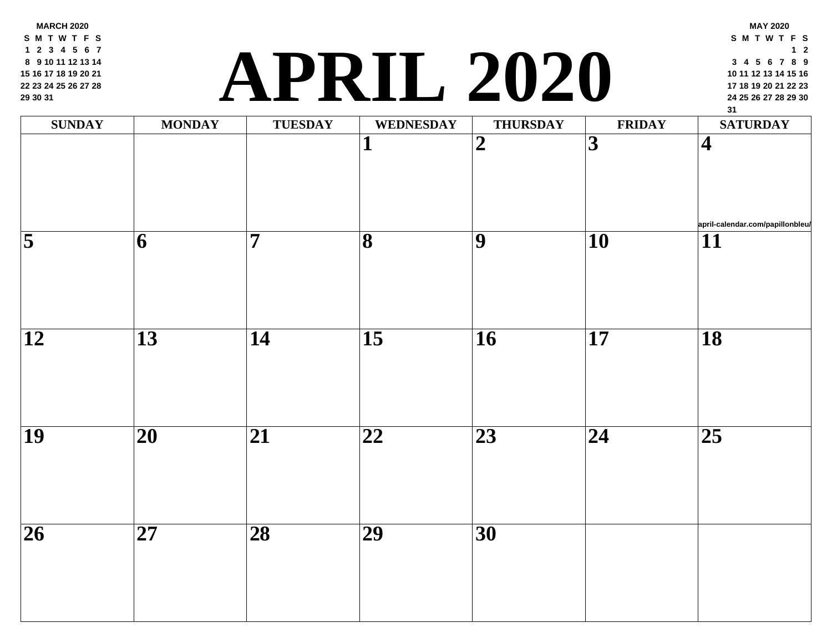**MARCH 2020 S M T W T F S 2 3 4 5 6 7 9 10 11 12 13 14 16 17 18 19 20 21 23 24 25 26 27 28 30 31**

### **<sup>24</sup> <sup>25</sup> <sup>26</sup> <sup>27</sup> <sup>28</sup> <sup>29</sup> <sup>30</sup> APRIL 2020**

| <b>SUNDAY</b>   | <b>MONDAY</b>           | <b>TUESDAY</b>           | <b>WEDNESDAY</b>        | <b>THURSDAY</b> | <b>FRII</b>     |
|-----------------|-------------------------|--------------------------|-------------------------|-----------------|-----------------|
|                 |                         |                          | $\mathbf I$             | $\overline{2}$  | $\overline{3}$  |
| $\overline{5}$  | $\overline{\mathbf{6}}$ | $\overline{7}$           | $\overline{\mathbf{8}}$ | $\overline{9}$  | $\overline{10}$ |
| $\overline{12}$ | $\overline{13}$         | $\overline{14}$          | $\overline{15}$         | $\overline{16}$ | $\overline{17}$ |
| $\overline{19}$ | $\overline{20}$         | $\overline{21}$          | $\overline{22}$         | $\overline{23}$ | $\overline{24}$ |
| $\overline{26}$ | $\overline{27}$         | $\overline{\mathbf{28}}$ | $\overline{29}$         | $\overline{30}$ |                 |
|                 |                         |                          |                         |                 |                 |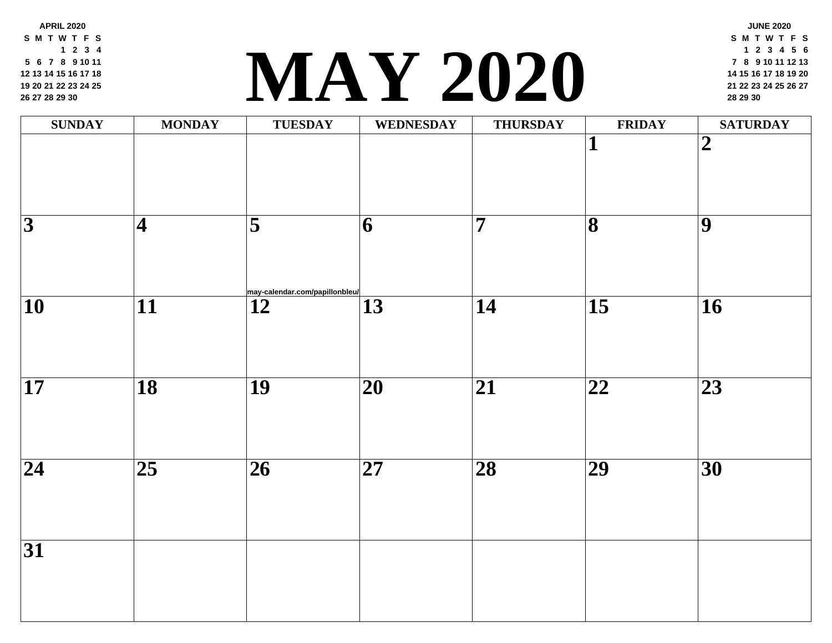**APRIL 2020 S M T W T F S 2 3 4 6 7 8 9 10 11 13 14 15 16 17 18 20 21 22 23 24 25 27 28 29 30**

#### **<sup>21</sup> <sup>22</sup> <sup>23</sup> <sup>24</sup> <sup>25</sup> <sup>26</sup> <sup>27</sup> [MA](http://may-calendar.com/papillonbleu/)Y 2020 <sup>28</sup> <sup>29</sup> <sup>30</sup>**

| <b>SUNDAY</b>            | <b>MONDAY</b>           | <b>TUESDAY</b>                                    | <b>WEDNESDAY</b> | <b>THURSDAY</b> | FRII                    |
|--------------------------|-------------------------|---------------------------------------------------|------------------|-----------------|-------------------------|
|                          |                         |                                                   |                  |                 | $\overline{\mathbf{1}}$ |
| $\overline{3}$           | $\overline{\mathbf{4}}$ | $\overline{\bf{5}}$                               | $\overline{6}$   | $\overline{7}$  | $\overline{\mathbf{8}}$ |
| $\overline{\mathbf{10}}$ | $\overline{11}$         | may-calendar.com/papillonbleu/<br>$\overline{12}$ | $\overline{13}$  | $\overline{14}$ | $\overline{15}$         |
| $\overline{\mathbf{17}}$ | $\overline{18}$         | $\overline{19}$                                   | $\overline{20}$  | $\overline{21}$ | $\overline{22}$         |
| $\overline{24}$          | $\overline{25}$         | $\overline{26}$                                   | $\overline{27}$  | $\overline{28}$ | $\overline{29}$         |
| $\overline{31}$          |                         |                                                   |                  |                 |                         |
|                          |                         |                                                   |                  |                 |                         |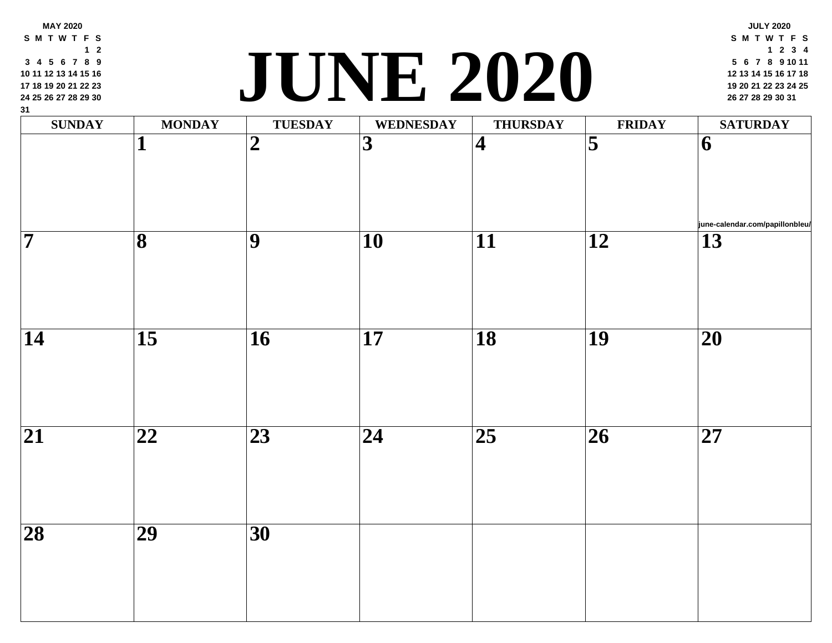| <b>SUNDAY</b>      | <b>MONDAY</b>   | <b>TUESDAY</b>   | <b>WEDNESDAY</b>         | <b>THURSDAY</b> | FRII                    |
|--------------------|-----------------|------------------|--------------------------|-----------------|-------------------------|
|                    |                 | $\boldsymbol{2}$ | 3                        | $\vert 4 \vert$ | $\overline{\mathbf{5}}$ |
| $\overline{\bf 7}$ | 8               | 9                | $\overline{10}$          | 11              | 12                      |
| 14                 | $\overline{15}$ | 16               | 17                       | <b>18</b>       | 19                      |
| $\overline{21}$    | 22              | $\overline{23}$  | $\overline{\mathbf{24}}$ | 25              | $\overline{26}$         |
| $\overline{28}$    | 29              | $\overline{30}$  |                          |                 |                         |

**MAY 2020 S M T W T F S**

**2**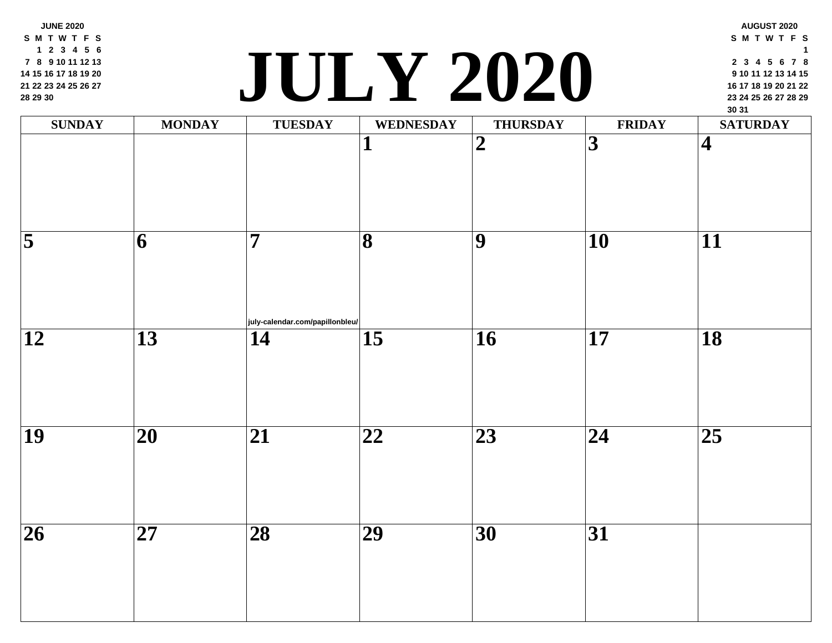**JUNE 2020 S M T W T F S 2 3 4 5 6 8 9 10 11 12 13 15 16 17 18 19 20 22 23 24 25 26 27 29 30**

### **<sup>23</sup> <sup>24</sup> <sup>25</sup> <sup>26</sup> <sup>27</sup> <sup>28</sup> <sup>29</sup> JULY 2020**

| <b>SUNDAY</b>            | <b>MONDAY</b>            | <b>TUESDAY</b>                                     | <b>WEDNESDAY</b>         | <b>THURSDAY</b> | FRII                    |
|--------------------------|--------------------------|----------------------------------------------------|--------------------------|-----------------|-------------------------|
|                          |                          |                                                    | $\mathbf{1}$             | $\overline{2}$  | $\overline{\mathbf{3}}$ |
| $\overline{\mathbf{5}}$  | $ \overline{6} $         | $\overline{7}$                                     | $\overline{\mathbf{8}}$  | $\overline{9}$  | $\overline{10}$         |
| $\overline{\mathbf{12}}$ | $\overline{13}$          | july-calendar.com/papillonbleu/<br>$\overline{14}$ | $\overline{15}$          | $\overline{16}$ | $\overline{17}$         |
| $\overline{19}$          | $\overline{\mathbf{20}}$ | $\overline{21}$                                    | $\overline{\mathbf{22}}$ | $\overline{23}$ | $\overline{24}$         |
| $\overline{26}$          | $\overline{\mathbf{27}}$ | $\overline{28}$                                    | $\overline{29}$          | $\overline{30}$ | $\overline{31}$         |
|                          |                          |                                                    |                          |                 |                         |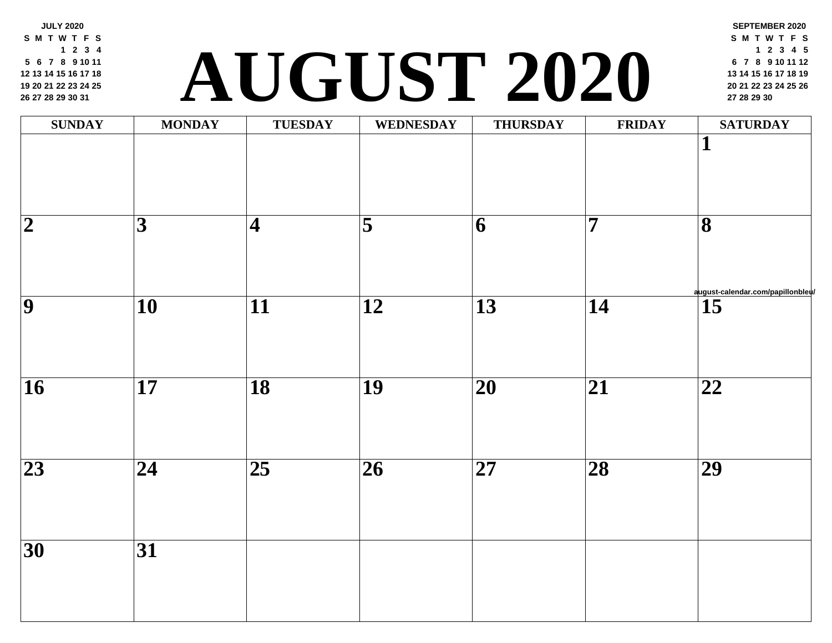**JULY 2020 S M T W T F S 2 3 4 6 7 8 9 10 11 13 14 15 16 17 18 20 21 22 23 24 25 27 28 29 30 31**

### **<sup>20</sup> <sup>21</sup> <sup>22</sup> <sup>23</sup> <sup>24</sup> <sup>25</sup> <sup>26</sup> AUGUST 2020 [27](http://august-calendar.com/papillonbleu/) <sup>28</sup> <sup>29</sup> <sup>30</sup>**

| <b>SUNDAY</b>       | <b>MONDAY</b>   | <b>TUESDAY</b>         | <b>WEDNESDAY</b>        | <b>THURSDAY</b>          | FRII                    |
|---------------------|-----------------|------------------------|-------------------------|--------------------------|-------------------------|
|                     |                 |                        |                         |                          |                         |
| $\overline{2}$      | $\overline{3}$  | $\vert\mathbf{4}\vert$ | $\overline{\mathbf{5}}$ | $ \overline{6} $         | $\overline{\mathbf{7}}$ |
| $\overline{\bm{9}}$ | $\overline{10}$ | $\overline{11}$        | $\overline{12}$         | $\overline{13}$          | $\overline{14}$         |
| $\overline{16}$     | $\overline{17}$ | $\overline{18}$        | $\overline{19}$         | $\overline{\mathbf{20}}$ | $\overline{21}$         |
| $\overline{23}$     | $\overline{24}$ | $\overline{25}$        | $\overline{26}$         | $\overline{\mathbf{27}}$ | $\overline{28}$         |
| $\overline{30}$     | $\overline{31}$ |                        |                         |                          |                         |
|                     |                 |                        |                         |                          |                         |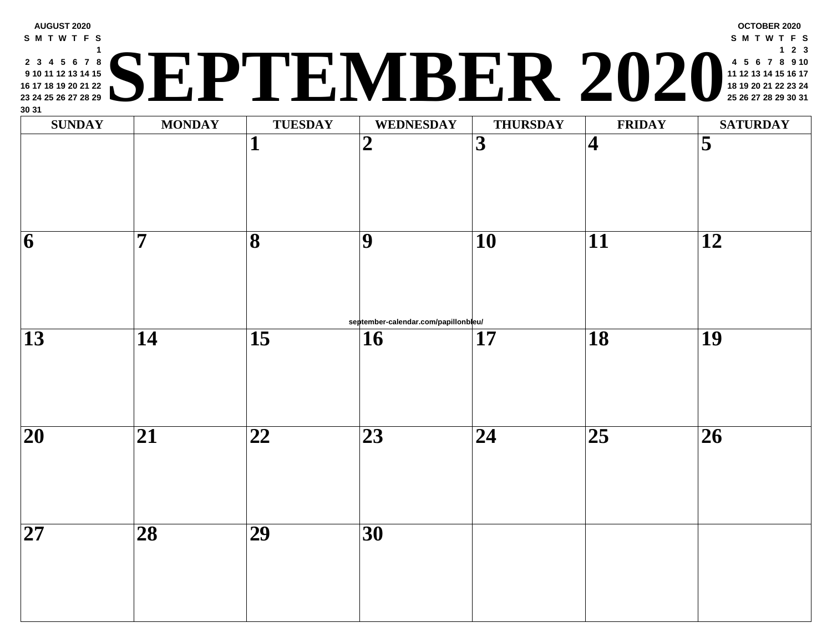| <b>SUNDAY</b>            | <b>MONDAY</b>   | <b>TUESDAY</b>  | <b>WEDNESDAY</b>                           | <b>THURSDAY</b> | <b>FRII</b>             |
|--------------------------|-----------------|-----------------|--------------------------------------------|-----------------|-------------------------|
|                          |                 | 1               | $\boldsymbol{2}$                           | 3               | $\overline{\mathbf{4}}$ |
| 6                        | 7               | 8               | 9                                          | 10              | 11                      |
| 13                       | 14              | $\overline{15}$ | september-calendar.com/papillonbleu/<br>16 | 17              | 18                      |
|                          |                 |                 |                                            |                 |                         |
| $\overline{\mathbf{20}}$ | 21              | 22              | 23                                         | 24              | 25                      |
| 27                       | $\overline{28}$ | $\overline{29}$ | $\overline{30}$                            |                 |                         |

**AUGUST 2020**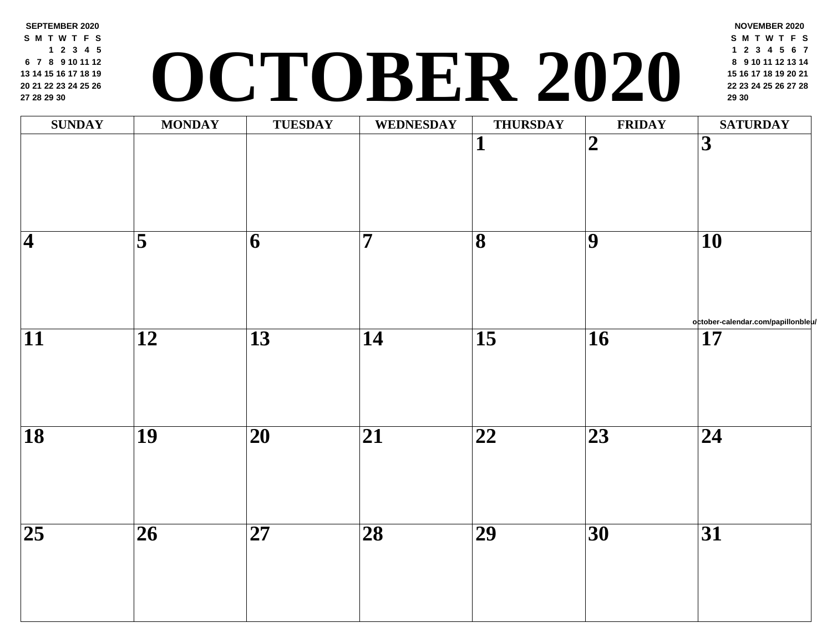**SEPTEMBER 2020 S M T W T F S 2 3 4 5 7 8 9 10 11 12 14 15 16 17 18 19 21 22 23 24 25 26 28 29 30**

## **<sup>22</sup> <sup>23</sup> <sup>24</sup> <sup>25</sup> <sup>26</sup> <sup>27</sup> <sup>28</sup> OCTOBER 2020 <sup>29</sup> <sup>30</sup>**

| <b>SUNDAY</b>            | <b>MONDAY</b>           | TUESDAY                  | WEDNESDAY       | <b>THURSDAY</b>         | FRII                    |
|--------------------------|-------------------------|--------------------------|-----------------|-------------------------|-------------------------|
|                          |                         |                          |                 | $\mathbf{1}$            | $\overline{\mathbf{2}}$ |
| $\overline{\mathcal{A}}$ | $\overline{\mathbf{5}}$ | $\overline{6}$           | $\overline{7}$  | $\overline{\mathbf{8}}$ | $\overline{9}$          |
| $\overline{11}$          | $\overline{12}$         | $\overline{13}$          | $\overline{14}$ | $\overline{15}$         | $\overline{16}$         |
| $\overline{18}$          | $\overline{19}$         | $\overline{\mathbf{20}}$ | $\overline{21}$ | $\overline{22}$         | $\overline{23}$         |
| $\overline{25}$          | $\overline{26}$         | $\overline{\mathbf{27}}$ | $\overline{28}$ | $\overline{29}$         | $\overline{30}$         |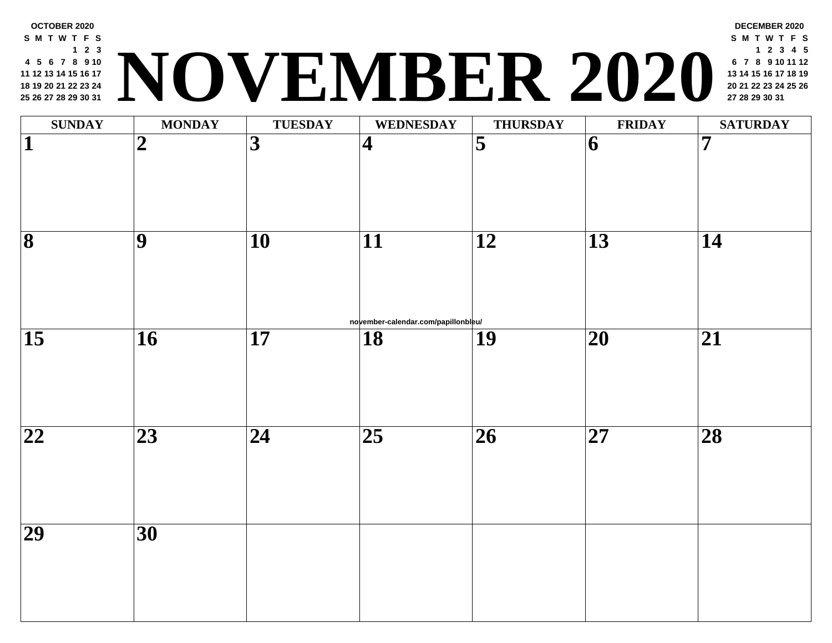| <b>SUNDAY</b>            | <b>MONDAY</b>  | <b>TUESDAY</b>  | <b>WEDNESDAY</b>                          | <b>THURSDAY</b>     | <b>FRII</b>     |
|--------------------------|----------------|-----------------|-------------------------------------------|---------------------|-----------------|
| 1                        | $\overline{2}$ | 3               | $\overline{\mathbf{4}}$                   | $\overline{\bf{5}}$ | $\vert 6 \vert$ |
| $\overline{\bf 8}$       | 9              | $\overline{10}$ | 11                                        | 12                  | 13              |
| $\overline{15}$          | 16             | $\overline{17}$ | november-calendar.com/papillonbleu/<br>18 | 19                  | $\overline{20}$ |
| $\overline{\mathbf{22}}$ | 23             | $\overline{24}$ | $\overline{25}$                           | 26                  | $\overline{27}$ |
| $\overline{29}$          | 30             |                 |                                           |                     |                 |

**OCTOBER 2020 S M T W T F S**